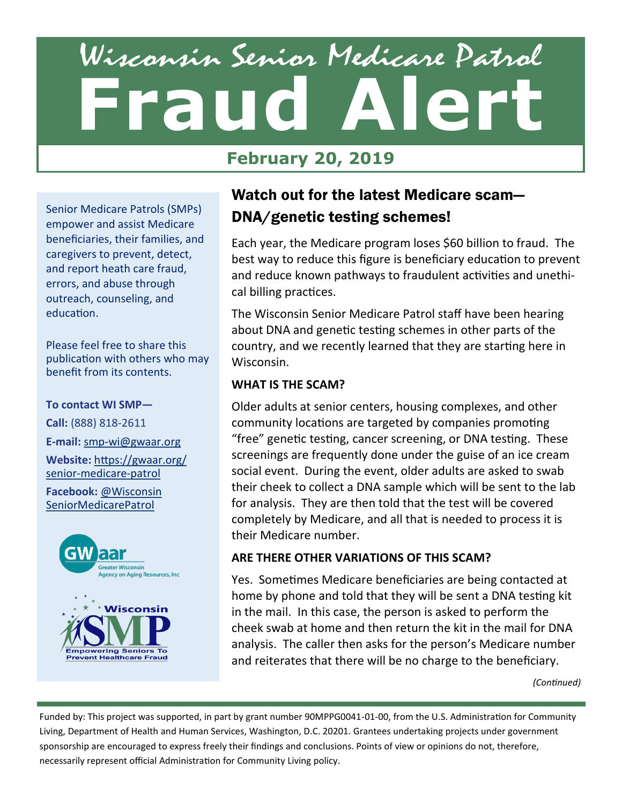# Wisconsin Senior Medicare Patrol **Fraud Alert** September 2017

# **February 20, 2019**

Senior Medicare Patrols (SMPs) empower and assist Medicare beneficiaries, their families, and caregivers to prevent, detect, and report heath care fraud, errors, and abuse through outreach, counseling, and education.

Please feel free to share this publication with others who may benefit from its contents.

#### **To contact WI SMP—**

**Call:** (888) 818-2611 **E-mail:** smp-[wi@gwaar.org](mailto:smp-wi@gwaar.org) **Website:** [https://gwaar.org/](https://gwaar.org/senior-medicare-patrol) senior-[medicare](https://gwaar.org/senior-medicare-patrol)-patrol

**Facebook:** [@Wisconsin](https://www.facebook.com/WisconsinSeniorMedicarePatrol/) [SeniorMedicarePatrol](https://www.facebook.com/WisconsinSeniorMedicarePatrol/) 



# Watch out for the latest Medicare scam— DNA/genetic testing schemes!

Each year, the Medicare program loses \$60 billion to fraud. The best way to reduce this figure is beneficiary education to prevent and reduce known pathways to fraudulent activities and unethical billing practices.

The Wisconsin Senior Medicare Patrol staff have been hearing about DNA and genetic testing schemes in other parts of the country, and we recently learned that they are starting here in Wisconsin.

#### **WHAT IS THE SCAM?**

Older adults at senior centers, housing complexes, and other community locations are targeted by companies promoting "free" genetic testing, cancer screening, or DNA testing. These screenings are frequently done under the guise of an ice cream social event. During the event, older adults are asked to swab their cheek to collect a DNA sample which will be sent to the lab for analysis. They are then told that the test will be covered completely by Medicare, and all that is needed to process it is their Medicare number.

### **ARE THERE OTHER VARIATIONS OF THIS SCAM?**

Yes. Sometimes Medicare beneficiaries are being contacted at home by phone and told that they will be sent a DNA testing kit in the mail. In this case, the person is asked to perform the cheek swab at home and then return the kit in the mail for DNA analysis. The caller then asks for the person's Medicare number and reiterates that there will be no charge to the beneficiary.

*(Continued)*

Funded by: This project was supported, in part by grant number 90MPPG0041-01-00, from the U.S. Administration for Community Living, Department of Health and Human Services, Washington, D.C. 20201. Grantees undertaking projects under government sponsorship are encouraged to express freely their findings and conclusions. Points of view or opinions do not, therefore, necessarily represent official Administration for Community Living policy.